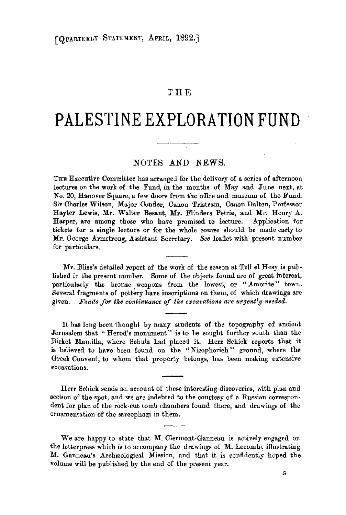## **THE**

# **PALESTINE EXPLORATION FUND**

# NOTES AND NEWS.

THE Executive Committee has arranged for the delivery of a series of afternoon lectures on the work of the Fund, in the months of May and June next, at No. 20, Hanover Square, a few doors from the office and museum of the Fund. Sir Charles Wilson, Major Conder, Canon Tristram, Canon Dalton, Professor Hayter Lewis, Mr. Walter Besant, Mr. Flinders Petrie, and Mr. Henry A. Harper, are among those who have promised to lecture. Application for tickets for a single lecture or for the whole course should be made early to Mr. George Armstrong, Assistant Secretary. *See* leaflet with present number for particulars.

**Mr.** Bliss's detailed report of the work of the season at Tell el Hesy is published in the present number. Some of the objects found are of great interest, particularly the bronze weapons from the lowest, or "Amorite" town. Several fragments of pottery have inscriptions on them, of which drawings are given. Funds for the continuance of the excavations are urgently needed.

It has long been thought by many students of the topography of ancient Jerusalem that "Herod's monument" is to be sought further south than the Birket Mamilla, where Schulz had placed it. Herr Schick reports that it is believed to have been found on the "Nicophorieh" ground, where the Greek Convent, to whom that property belongs, has been making extensive excavations.

Herr Schick sends an account of these interesting discoveries, with plan and section of the spot, and we are indebted to the courtesy of a Russian correspondent for plan of the rock-cut tomb chambers found there, and drawings of the omamentation of the sarcophagi in them.

We are happy to state that M. Clermont-Ganneau is actively engaged on the letterpress which is to accompany the drawings of M. Lecomte, illustrating **M.** Ganneau's Archeological Mission, and that it is confidently hoped the volume will be published by the end of the present year.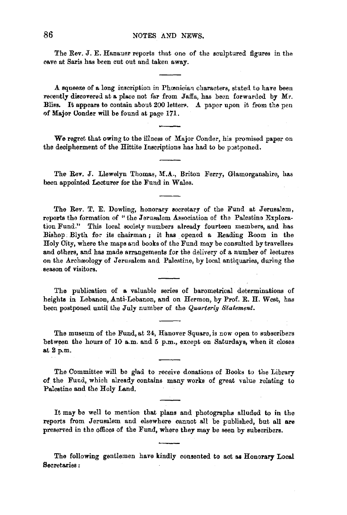The Rev. J. E. Hanauer reports that one of the sculptured figures in the cave at Saris has been cut out and taken away.

**A** squeeze of **a** long inscription in Phamician characters, stated. to have been recently discovered at a place not far from Jaffa, has been forwarded by Mr. Bliss. It appears to contain about 200 letters. A paper upon it from the pen ,:if **Major** Oonder will be found at page 171.

**We** regret that owing to the illness of Major Conder, his promised paper on the decipherment of the Hittite Inscriptions has had to be postponed.

The Rev. J. Llewelyn Thomas, M.A., Briton Ferry, Glamorganshire, has been appointed Lecturer for the Fund in Wales.

The Rev. T. E. Dowling, honorary aecretary of the Fund at Jerusalem, reports the formation of " the Jerusalem Association of the Palestine Exploration Fund." This local society numbers already fourteen members, and has Bishop. Blyth for its chairman; it has opened a Reading Room in the Holy City, where the maps and books of the Fund may be consulted by travellers and others, and has made arrangements for the delivery of a number of lectures on the Archaeology of Jerusalem and. Palestine, by local antiquaries, during the season of visitors.

The publication of a valuable series of barometrical determinations of heights in Lebanon, Anti-Lebanon, and on Hermon, by Prof. R. H. West, has been postponed until the July number of the *Quarterlg Statement.* 

The museum of the Fund, at 24, Hanover Square, is now open to subscribers between the hours of 10 a.m. and 5 p.m., except on Saturdays, when it closes at 2 p.m.

The Committee will be glad to receive donations of Books to the Library of. the Fund, which already contains many works of great value relating to Palestine and the Holy Land.

It may be well to mention that plans and photographs alludad to in the reports from Jerusalem and elsewhere cannot all be published, but all are preserved in the offices of the Fund, where they may be seen by subscribers.

The following gentlemen have kindly consented to act as Honorary Local Secretaries :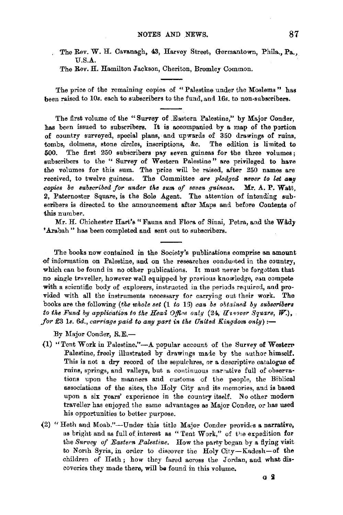The Rev. W. H. Cavanagh, 43, Harvey Street, Germantown, Phila., Pa.,  $U.S.A.$ 

The Rev. H. Hamilton Jackson, Cheriton, Bromley Common.

The price of the remaining copies of "Palestine under the Moslems" has been raised to *10s.* each to subscribers to the fund, and 16s. to non-subscribers.

The first volume of the "Survey of .Eastern Palestine," by Major Conder, has been issued to subscribers. It is accompanied by a map of the portion of country surveyed, special plans, -and upwards of 350 drawings of ruins, tombs, dolmens, stone circles, inscriptions, &c. The edition is limited to **500.** The first 250 subscribers **pay** seven guineas for the three volumes; subscribers to the " Survey of Western Palestine" are privileged to have the volumes for this sum. The price will be raised, after  $250$  names are received, to twelve guineas. The Committee are pledged never to let any *copies be subscribed for under the sum of seven guineas.* Mr. A. P. Watt, 2, Paternoster Square, is the Sole Agent. The attention of intending subscribers is directed to the announcement after Maps and before Contents of this number.

Mr. H. Chichester Hart's "Fauna and Flora of Sinai, Petra, and the Wady 'Arabah" has been completed and sent out to subscribers.

The books now contained in the Society's publications comprise an amount of information on Palestine, and on the researches conducted in the country, which can be found in no other publications. It must never be forgotten that no single traveller, however well equipped by previous knowledge, can compete with a scientific body of explorers, instructed in the periods required, and provided with all the instruments necessary for carrying out their work. The books are the following *(the whole set* (1 *to* 13) *can be obtained by subscribers to the Fund by application to the Head Office only (24, Havorer Square, W.), for*  $\pounds3$  1s.  $6d$ , *carriage paid to any part in the United Kingdom only*)  $:$ 

By Major Conder, R.E.-

- (1) "Tent Work in Palestine." $-A$  popular account of the Survey of Western Palestine, freely illustrated by drawings made by the author himself. This is not a dry record of the sepulchres, or a descriptive catalogue of ruins, springs, and valleys, but a continuous narrative full of observations upon the manners and customs of the people, the Biblical associations of the sites, the Holy City and its memories, and is based upon a six years' experience in the country itself. No other modern traveller has enjoyed the same advantages as Major Conder, or has used his opportunities to better purpose.
- (2) "Heth and Moab."--Under this title Major Conder provides a narrative, as bright and as full of interest as "Tent Work," of the expedition for the *Survey of Eastern Palestine*. How the party began by a flying visit to North Syria, in order to discover the Holy City-Kadesh-of the children of Heth ; how they fared across the Jordan, and what dis· coveries they made there, will ba found in this volume.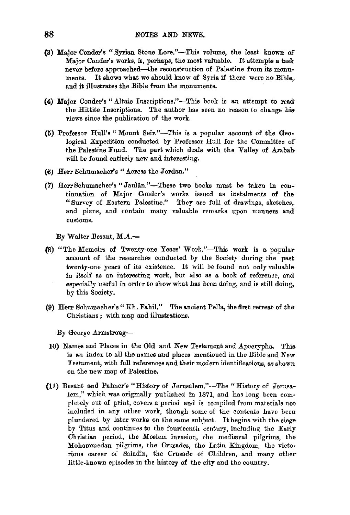- (3) Major Conder's "Syrian Stone Lore."-This volume, the least known or Major Conder's works, is, perhaps, the most valuable. It attempts a task never before approached-the reconstruction of Palestine from its monuments. It shows what we should know of Syria if there were no Bible, and it illustrates the Bible from the monuments.
- (4) Major Conder's "Altaic Inscriptions."-This book is an attempt to read· the Hittite Inscriptions. The author has seen no reason to change his• views since the publication of the work.
- **(6)** Professor Hull's" Mount Seir."-This is a popular account of the Geological Expedition conducted by Professor Hull for the Committee of the Palestine Fund. The part which deals with the Valley of Arabah will be found entirely new and interesting.
- **(6J Herr** Schumacher's "Across the Jordan."
- (7) HerrSchumacher's "Jaulan."-These two books must be taken in con-· tinuation of Major Conder's works issued as instalments of the "Survey of Eastern Palestine." They are full of drawings, sketches, and plans, and contain many valuable remarks upon manners and customs.

**By** Walter Besant, **M.A..-**

- (8) "The Memoirs of Twenty-one Years' Work."-This work is a popular account of the researches conducted by the Society during the past twenty-one years of its existence. It will be found not only valuable· in itself as an interesting work, but also as a book of reference, and especially useful in order to show what has been doing, and is still doing,. by this Society.
- (9) Herr Schumacher's" Kh. Fahil." The ancient Pella, the first retreat of the, Christians; with map and illustrations.
	- By George Armstrong-
- 10) Names and Places in the Old and New Testament and Apocrypha. This is an index to all the names and places mentioned in the Bible and New Testament, with full references and their modern identifications, as shown. on the new map of Palestine.
- (11) Besant and Palmer's "History of Jerusalem."-The *"History* of Jerusa• lem," which was originally published *in* 1871, and has long been completely out of print, covers a period and is compiled from materials not included in any other work, though some of the contents have been plundered by later works on the same subject. It begins with the siege, by Titus and continues to the fourteenth century, including the Early Christian period, the Moslem invasion, the medieval pilgrims, the Mohammedan pilgrims, the Crusades, the Latin Kingdom, the victorious career of Saladin, the Crusade of Children, and many other little-known episodes in the history of the city and the country.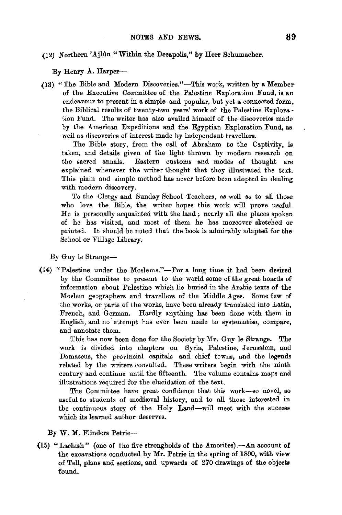### (12) Northern 'Ajlûn "Within the Decapolis," by Herr Schumacher.

By Henry A. Harper-

(13) "The Bible and Modern Discoveries."-This work, written by a Memberof the Executive Committee of the Palestine Exploration Fund, is an endeavour to present in a simple and popular, but yet a connected form, the Biblical results of twenty-two years' work of the Palestine Explora. tion Fund. The writer has also availed himself of the discoveries made by the American Expeditions and the Egyptian Exploration Fund, as well as discoveries of interest made by independent travellers.

The Bible story, from the call of Abraham to the Captivity, is taken, and details given of the light thrown by modern research on the sacred annals. Eastern customs and modes of thonght are explained whenever the writer thought that they illustrated the text. This plain and simple method has never before been adopted in dealing with modern discovery.

To the Clergy and Sunday School Teachers, as well as to all those who love the Bible, the writer hopes this work will prove useful. He is personally acquainted with the land ; nearly all the places spoken of he has visited, and most of them he has moreover sketched or painted. It should be noted that the book is admirably adapted for the School or Village Library.

By Guy le Strange-

(14) "Palestine under the Moslems."-For a long time it had been desired by the Committee to present to the world some of the great hoards of information about Palestine which lie buried in the Arabic texts of the Moslem geographers and travellers of the Middle Ages. Some few of the works, or parts of the works, have been already translated into Latin, French, and German. Hardly anything has been done with them in English, and no attempt has ever been made to systematise, compare, and annotate them.

This has now been done for the Society by Mr. Guy le Strange. The work is divided into chapters on Syria, Palestine, Jerusalem, and Damascus, the provincial capitals and chief towns, and the legends related by the writers consulted. These writers begin with the ninth century and continue until the fifteenth. The volume contains maps and illustrations required for the elucidation of the text.

The Committee have great confidence that this work--so novel, so useful to students of mediæval history, and to all those interested in the continuous story of the Holy **Land-will** meet with the success which its learned author deserves.

By W. M. Flinders Petrie-

(15) "Lachish" (one of the five strongholds of the Amorites).—An account of the excavations conducted by Mr. Petrie in the spring of 1890, with view of Tell, plans and sections, and upwards of 270 drawings of the objects found.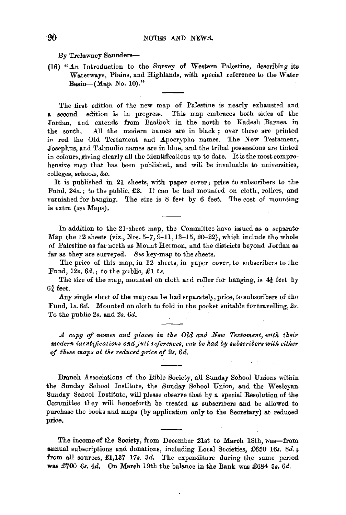By Trelawney Saunders-

(16) "An Introduction to the Survey of Western Palestine, describing its Waterways, Plains, and Highlands, with special reference to the Water Basin- $(Map. No. 10)$ ."

The first edition of the new map of Palestine is nearly exhausted and a second edition is in progress. This map embraces both sides of the Jordan, and extends from Baalbek in the north to Kadesh Barnea in the south. *All* the modern names are in black ; over these are printed in red the Old Testament and Apocrypha names. The New Testament, Josephus, and Talmudic names are in blue, and the tribal possessions are tinted in colours, giving clearly all the identifications up to date. It is the most comprehensive map that has been published, and will be invaluable to universities, colleges, schools, &c.

It is published in 21 sheets, with paper cover; price to subscribers to the-Fund, 24s.; to the public, £2. It can be had mounted on cloth, rollers, and varnished for hanging. The size is 8 feet by 6 feet. The cost of mounting is extra *(see* Maps).

In addition to the 21-sheet map, the Committee have issued as a separate-Map the 12 sheets (viz., Nos. 5-7, 9-11, 13-15, 20-22), which include the whole of Palestine as far north as Mount Hermon, and the districts beyond Jordan as far as they are surveyed. *See* key-map to the sheets.

The price of this map, in 12 sheets, in paper cover, to subscribers to the Fund, *12s. 6d.;* to the public, £1 ls.

The size of the map, mounted on cloth and roller for hanging, is  $4\frac{1}{2}$  feet by  $6\frac{3}{4}$  feet.

**.A.ny** single sheet of the map can be had separately, price, to subscribers of the Fund, 1s. 6d. Mounted on cloth to fold in the pocket suitable for travelling, 2s. To the public *2s.* and *2s. 6d •* 

*..1. copy* of *names and places in tke Old and New Testament, witk tkeir modern identifications andjull references, can be kad by subscribers witk eitker*  of *tkese maps at tke reduced price* of *2s. 6d.* 

Branch Associations of the Bible Society, all Sunday School Unions within the Sunday School Institute, the Sunday School Union, and the Wesleyan Sunday School Institute, will please observe that by a special Resolution of the Committee they will henceforth be treated as subscribers and be allowed to purchase the books and maps (by application only to the Secretary) at reduced price.

The income of the Society, from December 21st to March 18th, was-from **annual** subscriptions and donations, including Local Societies, £650 16s. *Sd.* <sup>~</sup> from all sources, £1,137 17s. 3d. The expenditure during the same period was £700 6s. 4d, On March 19th the balance in the Bank was £684 5s. 6d.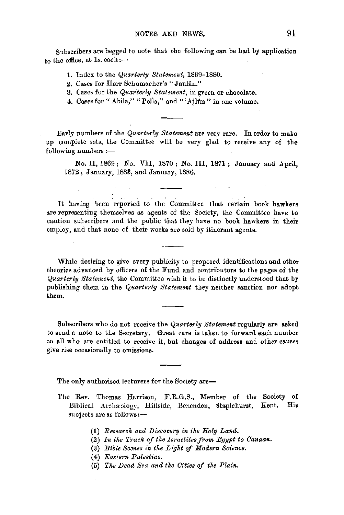Subscribers are begged to note that the following can be had by application to the office, at  $1s$ . each: $-$ 

**1.** Index to the *Quarterltg Statement,* 1869-1880.

**2.** Cases for Herr Schumacher's "Jaulan."

3. Cases for the *Quarterly Statement*, in green or chocolate.

4. Cases for " Abila," " Pella," and "'Ajlûn" in one volume.

Early numbers of the *Quarterly Statement* are very rare. In order to make up complete sets, the Committee will be very glad to receive any of the  $following numbers :=$ 

No, II, 1869 ; No. VII, 1870 ; No. III, 1871 ; January and April, 1872; January, 1888, and January, 1886.

It having been reported to the Committee that certain book hawkers are representing themselves as agents of the Society, the Committee have to caution subscribers and the public that they have no book hawkers in their employ, and that none of their works are sold by itinerant agents.

Whtle desiring to give every publicity to proposed identifications and other theories advanced by officers of the Fund and contributors to the pages of the *Quarterly Statement,* the Committee wish it to be distinctly understood that by publishing them in the *Quarterly Statement* they neither sanction nor adopt them.

Subscribers who do not receive the *Quarterly Statement* regularly are **asked**  to send a note to the Secretary. Great care is taken to forward each number to all who are entitled to receive it, but changes of address and other canses give rise occasionally to omissions.

The only authorised lecturers for the Society are-

- The Rev. Thomas Harrison, F.R.G.S., Member of the Society of Biblical Archaeology, Hillside, Benenden, Staplehurst, Kent. His subjects are as follows:-
	- (1) *Research and Discovery in the Holy Land.*
	- (2) In the Track of the Israelites from Egypt to Canaan.
	- (3) *Bible Scenes in the Light of Modern Science.*
	- (4) *Eastern Palestine.*
	- (5) *The Dead Sea and the Cities of the Plain.*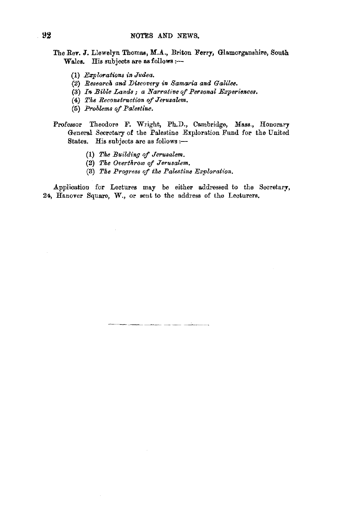- The Rev. J. Llewelyn Thomas, **M.A.,** Briton Ferry, Glamorganshire, South Wales. His subjects are as follows:-
	- (1) *Ezplorations in Judea.*
	- {2) *Research and lJiscovery in Samaria and Galilee.*
	- (3) In Bible Lands; a Narrative of Personal Experiences.
	- (4) *Tke Reconstruction of Jerusalem.*
	- (5) *Problems of Palestine.*
- Professor Theodore F. Wright, Ph.D., Cambridge, Mass., Honorary General Secretary of the Palestine Exploration Fund for the United States. His subjects are as follows :-
	- (1) *Tke Building of Jerusalem.*
	- (2) *Tke Overtnrow of Jerusalem.*
	- (3) *Tke Progress of tke Palestine Exploration .*

.Application for Lectures may be either addressed to the Secretary, 24, Hanover Square, W., or sent to the address of the Lecturers.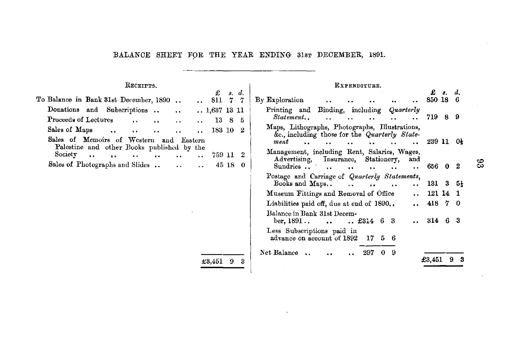#### BALANCE SHEET FOR THE YEAR ENDING 31sr DECEMBER, 1891.

#### RECEIPTS, EXPENDITURE. £ 8, d. £ *s.* d. To Balance in Bank 31st December, 1890. 811 7 7 By Exploration 850 18 6  $\sim$  $\ddot{\phantom{a}}$  . Donations and Subscriptions .. Printing and Binding, including *Quarterly* 1,637 13 11  $\ddot{\phantom{a}}$ *Statement ..*  719 8 9 Proceeds of Lectures  $\mathbf{a}$  is  $\ddot{\phantom{a}}$  $\ddot{\phantom{a}}$  $\ddot{\phantom{a}}$ 13 8 5  $\ddot{\phantom{a}}$  $\sim$ Maps, Lithographs, Photographs, Illustrations, Sales of Maps 183 10 2  $\ddot{\phantom{a}}$  $\ddot{\phantom{a}}$  $\ddot{\phantom{a}}$  $\ddot{\phantom{a}}$  $\ddot{\phantom{a}}$ &c., including those for the *Quarterly State-*Sales of Memoirs of Western and Eastern 239 11 O½ *ment*   $\mathbf{r}$  $\ddot{\phantom{a}}$  $\ddot{\phantom{a}}$  $\ddot{\phantom{a}}$  $\ddot{\phantom{0}}$ Palestine and other Books published by the Management, including Rent, Salaries, Wages, Society ...  $\cdots$  ... .. 759 11 2  $\ddot{\phantom{a}}$ Advertising, Insurance, Stationery, Sales of Photographs and Slides .. 45 18 0 Sundries  $\ldots$  $\ddot{\phantom{a}}$  $\ddot{\phantom{a}}$ 656 0 2  $\ddot{\phantom{a}}$  $\ddot{\phantom{a}}$  $\ddot{\phantom{a}}$  $\ddot{\phantom{a}}$ Postage and Carriage of *Quarterly Statements*, Books and Maps..  $\therefore$  131 3 5<sup>1</sup>  $\ddotsc$  $\ddot{\phantom{a}}$  $\ddot{\phantom{a}}$ Museum Fittings and Removal of Office 12114 1  $\ddot{\phantom{a}}$ Liabilities paid off, due at end of 1890,. 418 7 0  $\ddotsc$ Balance in Bank 31st Decem- $\ldots$   $\pounds$ 314 6 3 ::114 6 3 Less Subscriptions paid in advance on account of 1892 17 5 6 Net Balance ... .. .. 297 0 9  $\texttt{\#3.451}$  9 3  $\texttt{\#3.451}$  9 3

 $^{\circ}$